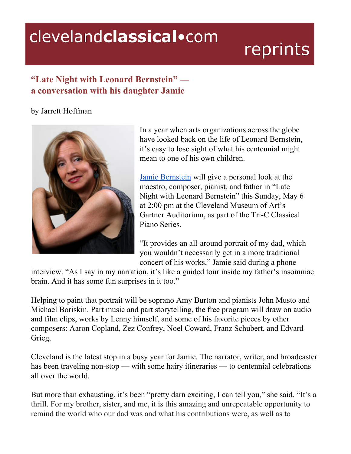## clevelandclassical.com

## reprints

## **"Late Night with Leonard Bernstein" a conversation with his daughter Jamie**

## by Jarrett Hoffman



In a year when arts organizations across the globe have looked back on the life of Leonard Bernstein, it's easy to lose sight of what his centennial might mean to one of his own children.

Jamie [Bernstein](http://jamiebernstein.net/) will give a personal look at the maestro, composer, pianist, and father in "Late Night with Leonard Bernstein" this Sunday, May 6 at 2:00 pm at the Cleveland Museum of Art's Gartner Auditorium, as part of the Tri-C Classical Piano Series.

"It provides an all-around portrait of my dad, which you wouldn't necessarily get in a more traditional concert of his works," Jamie said during a phone

interview. "As I say in my narration, it's like a guided tour inside my father's insomniac brain. And it has some fun surprises in it too."

Helping to paint that portrait will be soprano Amy Burton and pianists John Musto and Michael Boriskin. Part music and part storytelling, the free program will draw on audio and film clips, works by Lenny himself, and some of his favorite pieces by other composers: Aaron Copland, Zez Confrey, Noel Coward, Franz Schubert, and Edvard Grieg.

Cleveland is the latest stop in a busy year for Jamie. The narrator, writer, and broadcaster has been traveling non-stop — with some hairy itineraries — to centennial celebrations all over the world.

But more than exhausting, it's been "pretty darn exciting, I can tell you," she said. "It's a thrill. For my brother, sister, and me, it is this amazing and unrepeatable opportunity to remind the world who our dad was and what his contributions were, as well as to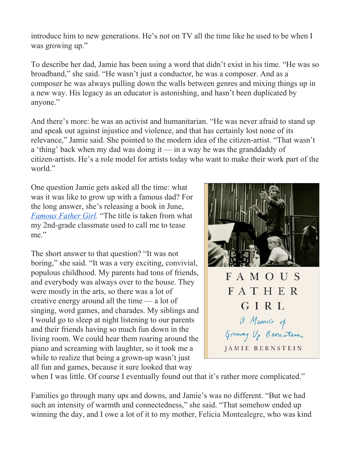introduce him to new generations. He's not on TV all the time like he used to be when I was growing up."

To describe her dad, Jamie has been using a word that didn't exist in his time. "He was so broadband," she said. "He wasn't just a conductor, he was a composer. And as a composer he was always pulling down the walls between genres and mixing things up in a new way. His legacy as an educator is astonishing, and hasn't been duplicated by anyone."

And there's more: he was an activist and humanitarian. "He was never afraid to stand up and speak out against injustice and violence, and that has certainly lost none of its relevance," Jamie said. She pointed to the modern idea of the citizen-artist. "That wasn't a 'thing' back when my dad was doing it — in a way he was the granddaddy of citizen-artists. He's a role model for artists today who want to make their work part of the world."

One question Jamie gets asked all the time: what was it was like to grow up with a famous dad? For the long answer, she's releasing a book in June, *[Famous](https://www.amazon.com/Famous-Father-Girl-Growing-Bernstein-ebook/dp/B071K5W9PP) Father Girl.* "The title is taken from what my 2nd-grade classmate used to call me to tease me."

The short answer to that question? "It was not boring," she said. "It was a very exciting, convivial, populous childhood. My parents had tons of friends, and everybody was always over to the house. They were mostly in the arts, so there was a lot of creative energy around all the time — a lot of singing, word games, and charades. My siblings and I would go to sleep at night listening to our parents and their friends having so much fun down in the living room. We could hear them roaring around the piano and screaming with laughter, so it took me a while to realize that being a grown-up wasn't just all fun and games, because it sure looked that way



when I was little. Of course I eventually found out that it's rather more complicated."

Families go through many ups and downs, and Jamie's was no different. "But we had such an intensity of warmth and connectedness," she said. "That somehow ended up winning the day, and I owe a lot of it to my mother, Felicia Montealegre, who was kind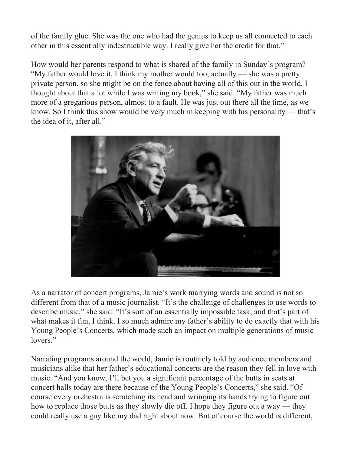of the family glue. She was the one who had the genius to keep us all connected to each other in this essentially indestructible way. I really give her the credit for that."

How would her parents respond to what is shared of the family in Sunday's program? "My father would love it. I think my mother would too, actually — she was a pretty private person, so she might be on the fence about having all of this out in the world. I thought about that a lot while I was writing my book," she said. "My father was much more of a gregarious person, almost to a fault. He was just out there all the time, as we know. So I think this show would be very much in keeping with his personality — that's the idea of it, after all."



As a narrator of concert programs, Jamie's work marrying words and sound is not so different from that of a music journalist. "It's the challenge of challenges to use words to describe music," she said. "It's sort of an essentially impossible task, and that's part of what makes it fun, I think. I so much admire my father's ability to do exactly that with his Young People's Concerts, which made such an impact on multiple generations of music lovers."

Narrating programs around the world, Jamie is routinely told by audience members and musicians alike that her father's educational concerts are the reason they fell in love with music. "And you know, I'll bet you a significant percentage of the butts in seats at concert halls today are there because of the Young People's Concerts," she said. "Of course every orchestra is scratching its head and wringing its hands trying to figure out how to replace those butts as they slowly die off. I hope they figure out a way — they could really use a guy like my dad right about now. But of course the world is different,